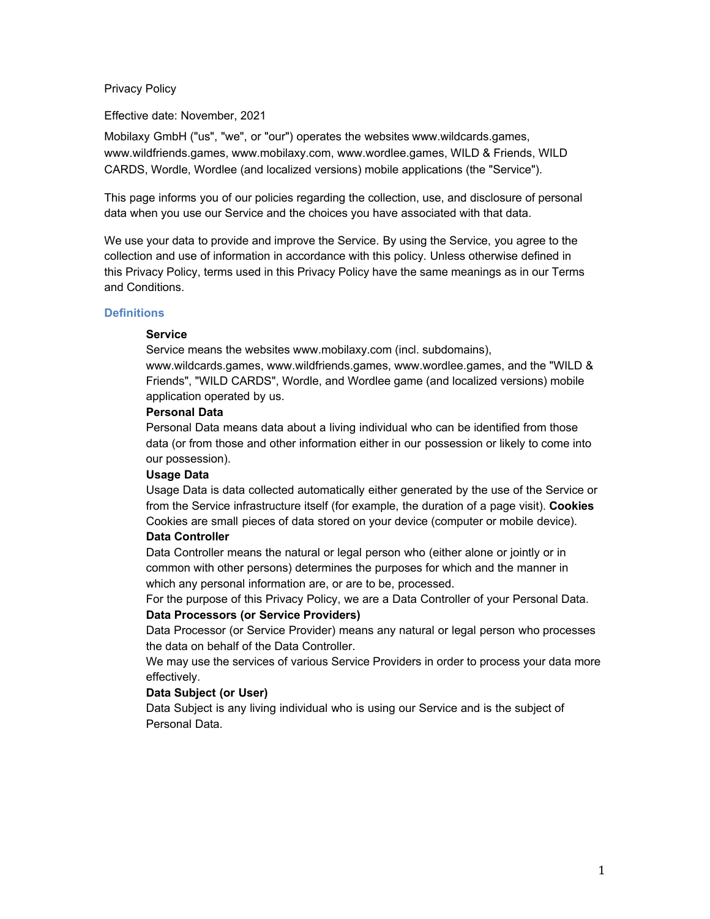### Privacy Policy

Effective date: November, 2021

Mobilaxy GmbH ("us", "we", or "our") operates the websites www.wildcards.games, www.wildfriends.games, www.mobilaxy.com, www.wordlee.games, WILD & Friends, WILD CARDS, Wordle, Wordlee (and localized versions) mobile applications (the "Service").

This page informs you of our policies regarding the collection, use, and disclosure of personal data when you use our Service and the choices you have associated with that data.

We use your data to provide and improve the Service. By using the Service, you agree to the collection and use of information in accordance with this policy. Unless otherwise defined in this Privacy Policy, terms used in this Privacy Policy have the same meanings as in our Terms and Conditions.

### **Definitions**

### **Service**

Service means the websites www.mobilaxy.com (incl. subdomains),

www.wildcards.games, www.wildfriends.games, www.wordlee.games, and the "WILD & Friends", "WILD CARDS", Wordle, and Wordlee game (and localized versions) mobile application operated by us.

#### **Personal Data**

Personal Data means data about a living individual who can be identified from those data (or from those and other information either in our possession or likely to come into our possession).

#### **Usage Data**

Usage Data is data collected automatically either generated by the use of the Service or from the Service infrastructure itself (for example, the duration of a page visit). **Cookies** Cookies are small pieces of data stored on your device (computer or mobile device).

# **Data Controller**

Data Controller means the natural or legal person who (either alone or jointly or in common with other persons) determines the purposes for which and the manner in which any personal information are, or are to be, processed.

For the purpose of this Privacy Policy, we are a Data Controller of your Personal Data. **Data Processors (or Service Providers)**

Data Processor (or Service Provider) means any natural or legal person who processes the data on behalf of the Data Controller.

We may use the services of various Service Providers in order to process your data more effectively.

# **Data Subject (or User)**

Data Subject is any living individual who is using our Service and is the subject of Personal Data.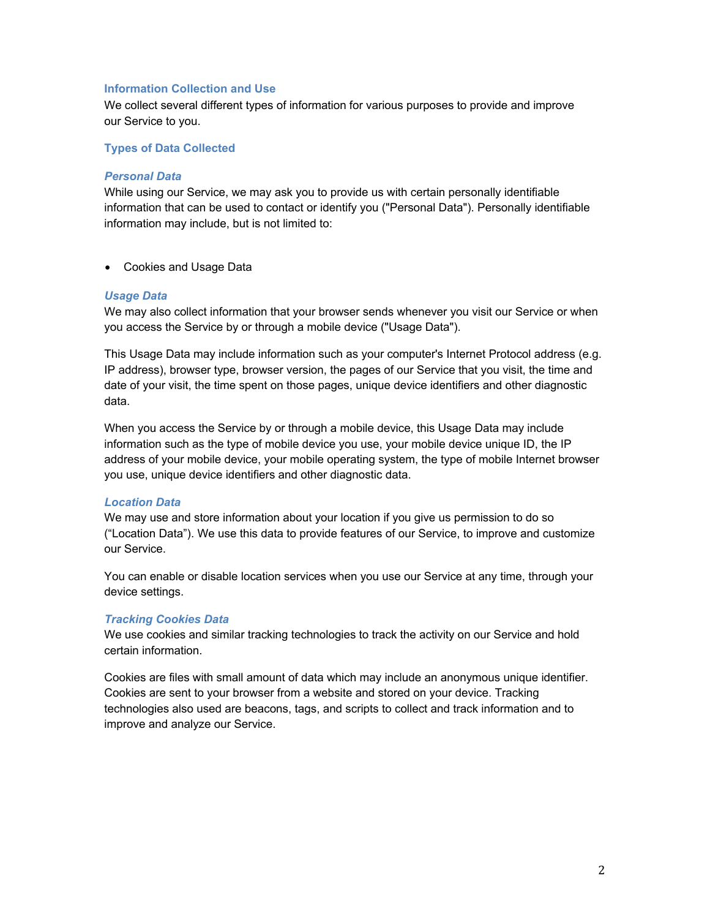### **Information Collection and Use**

We collect several different types of information for various purposes to provide and improve our Service to you.

### **Types of Data Collected**

#### *Personal Data*

While using our Service, we may ask you to provide us with certain personally identifiable information that can be used to contact or identify you ("Personal Data"). Personally identifiable information may include, but is not limited to:

• Cookies and Usage Data

#### *Usage Data*

We may also collect information that your browser sends whenever you visit our Service or when you access the Service by or through a mobile device ("Usage Data").

This Usage Data may include information such as your computer's Internet Protocol address (e.g. IP address), browser type, browser version, the pages of our Service that you visit, the time and date of your visit, the time spent on those pages, unique device identifiers and other diagnostic data.

When you access the Service by or through a mobile device, this Usage Data may include information such as the type of mobile device you use, your mobile device unique ID, the IP address of your mobile device, your mobile operating system, the type of mobile Internet browser you use, unique device identifiers and other diagnostic data.

#### *Location Data*

We may use and store information about your location if you give us permission to do so ("Location Data"). We use this data to provide features of our Service, to improve and customize our Service.

You can enable or disable location services when you use our Service at any time, through your device settings.

#### *Tracking Cookies Data*

We use cookies and similar tracking technologies to track the activity on our Service and hold certain information.

Cookies are files with small amount of data which may include an anonymous unique identifier. Cookies are sent to your browser from a website and stored on your device. Tracking technologies also used are beacons, tags, and scripts to collect and track information and to improve and analyze our Service.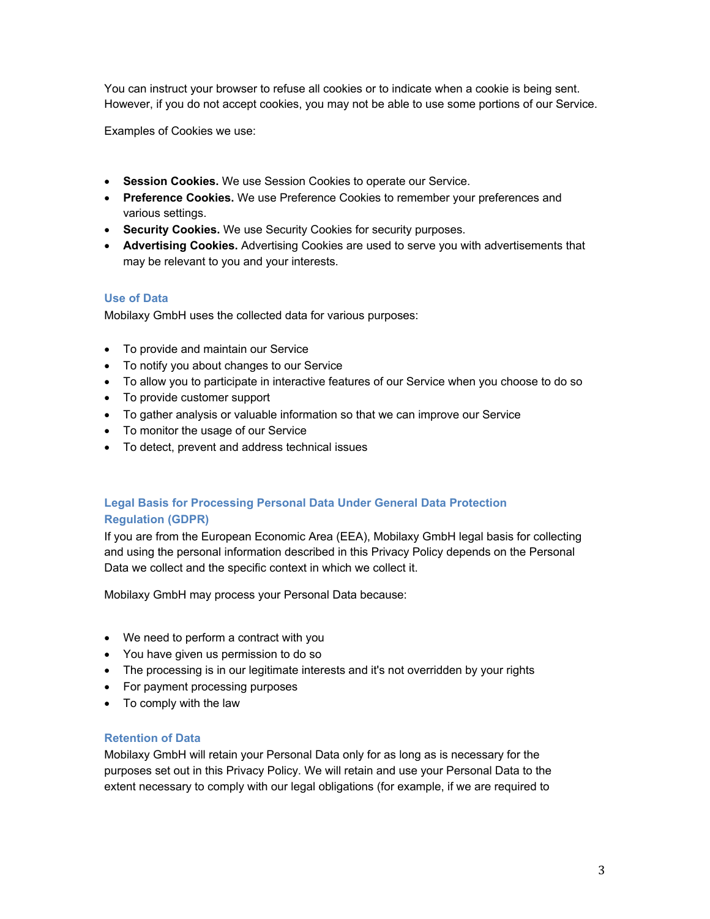You can instruct your browser to refuse all cookies or to indicate when a cookie is being sent. However, if you do not accept cookies, you may not be able to use some portions of our Service.

Examples of Cookies we use:

- **Session Cookies.** We use Session Cookies to operate our Service.
- **Preference Cookies.** We use Preference Cookies to remember your preferences and various settings.
- **Security Cookies.** We use Security Cookies for security purposes.
- **Advertising Cookies.** Advertising Cookies are used to serve you with advertisements that may be relevant to you and your interests.

# **Use of Data**

Mobilaxy GmbH uses the collected data for various purposes:

- To provide and maintain our Service
- To notify you about changes to our Service
- To allow you to participate in interactive features of our Service when you choose to do so
- To provide customer support
- To gather analysis or valuable information so that we can improve our Service
- To monitor the usage of our Service
- To detect, prevent and address technical issues

# **Legal Basis for Processing Personal Data Under General Data Protection Regulation (GDPR)**

If you are from the European Economic Area (EEA), Mobilaxy GmbH legal basis for collecting and using the personal information described in this Privacy Policy depends on the Personal Data we collect and the specific context in which we collect it.

Mobilaxy GmbH may process your Personal Data because:

- We need to perform a contract with you
- You have given us permission to do so
- The processing is in our legitimate interests and it's not overridden by your rights
- For payment processing purposes
- To comply with the law

# **Retention of Data**

Mobilaxy GmbH will retain your Personal Data only for as long as is necessary for the purposes set out in this Privacy Policy. We will retain and use your Personal Data to the extent necessary to comply with our legal obligations (for example, if we are required to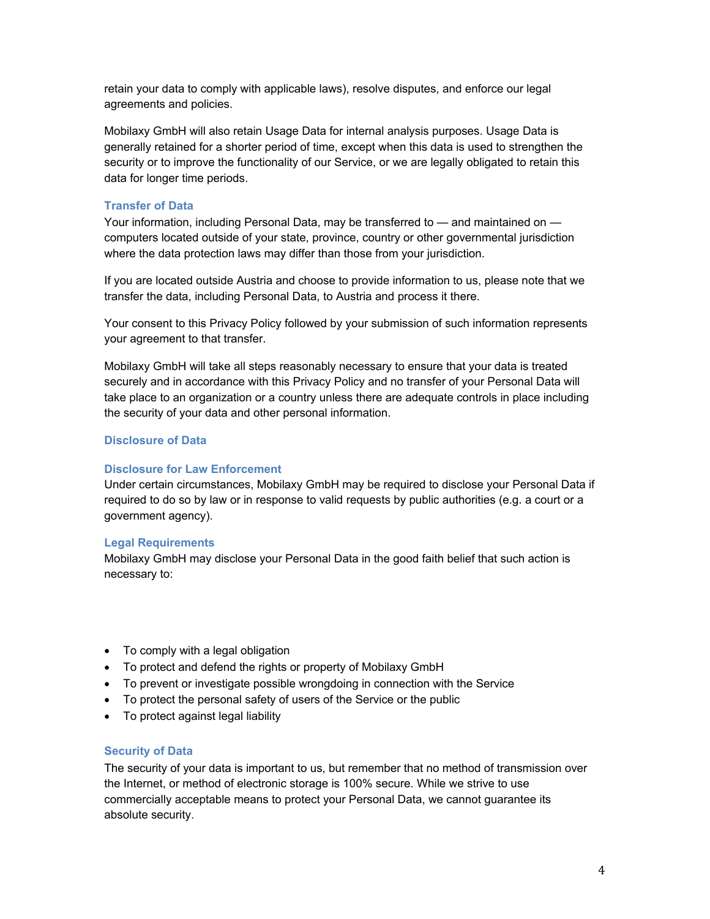retain your data to comply with applicable laws), resolve disputes, and enforce our legal agreements and policies.

Mobilaxy GmbH will also retain Usage Data for internal analysis purposes. Usage Data is generally retained for a shorter period of time, except when this data is used to strengthen the security or to improve the functionality of our Service, or we are legally obligated to retain this data for longer time periods.

#### **Transfer of Data**

Your information, including Personal Data, may be transferred to — and maintained on computers located outside of your state, province, country or other governmental jurisdiction where the data protection laws may differ than those from your jurisdiction.

If you are located outside Austria and choose to provide information to us, please note that we transfer the data, including Personal Data, to Austria and process it there.

Your consent to this Privacy Policy followed by your submission of such information represents your agreement to that transfer.

Mobilaxy GmbH will take all steps reasonably necessary to ensure that your data is treated securely and in accordance with this Privacy Policy and no transfer of your Personal Data will take place to an organization or a country unless there are adequate controls in place including the security of your data and other personal information.

### **Disclosure of Data**

#### **Disclosure for Law Enforcement**

Under certain circumstances, Mobilaxy GmbH may be required to disclose your Personal Data if required to do so by law or in response to valid requests by public authorities (e.g. a court or a government agency).

#### **Legal Requirements**

Mobilaxy GmbH may disclose your Personal Data in the good faith belief that such action is necessary to:

- To comply with a legal obligation
- To protect and defend the rights or property of Mobilaxy GmbH
- To prevent or investigate possible wrongdoing in connection with the Service
- To protect the personal safety of users of the Service or the public
- To protect against legal liability

#### **Security of Data**

The security of your data is important to us, but remember that no method of transmission over the Internet, or method of electronic storage is 100% secure. While we strive to use commercially acceptable means to protect your Personal Data, we cannot guarantee its absolute security.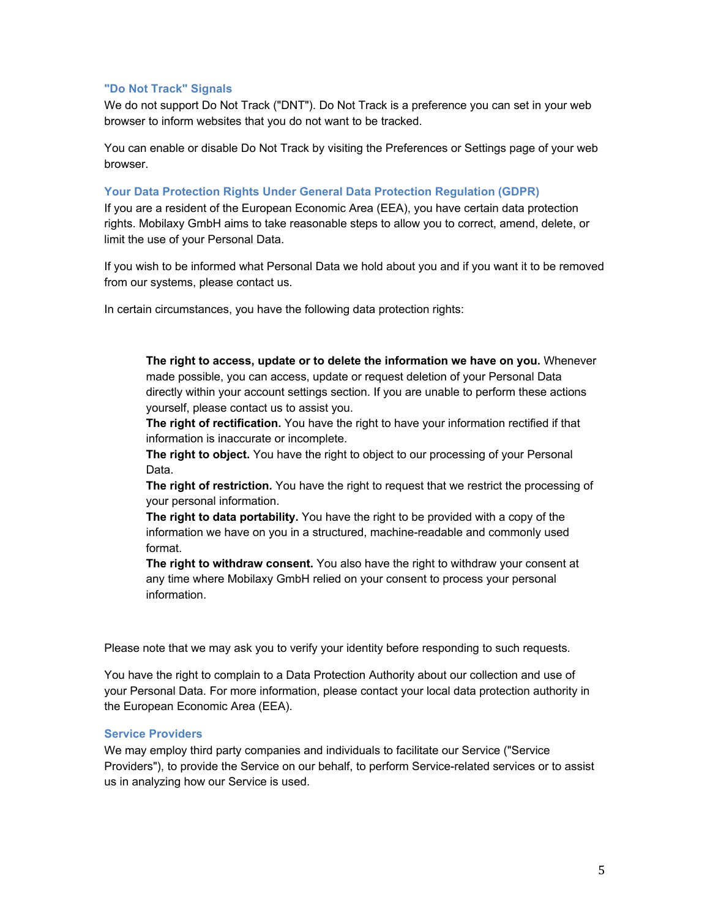# **"Do Not Track" Signals**

We do not support Do Not Track ("DNT"). Do Not Track is a preference you can set in your web browser to inform websites that you do not want to be tracked.

You can enable or disable Do Not Track by visiting the Preferences or Settings page of your web browser.

### **Your Data Protection Rights Under General Data Protection Regulation (GDPR)**

If you are a resident of the European Economic Area (EEA), you have certain data protection rights. Mobilaxy GmbH aims to take reasonable steps to allow you to correct, amend, delete, or limit the use of your Personal Data.

If you wish to be informed what Personal Data we hold about you and if you want it to be removed from our systems, please contact us.

In certain circumstances, you have the following data protection rights:

**The right to access, update or to delete the information we have on you.** Whenever made possible, you can access, update or request deletion of your Personal Data directly within your account settings section. If you are unable to perform these actions yourself, please contact us to assist you.

**The right of rectification.** You have the right to have your information rectified if that information is inaccurate or incomplete.

**The right to object.** You have the right to object to our processing of your Personal Data.

**The right of restriction.** You have the right to request that we restrict the processing of your personal information.

**The right to data portability.** You have the right to be provided with a copy of the information we have on you in a structured, machine-readable and commonly used format.

**The right to withdraw consent.** You also have the right to withdraw your consent at any time where Mobilaxy GmbH relied on your consent to process your personal information.

Please note that we may ask you to verify your identity before responding to such requests.

You have the right to complain to a Data Protection Authority about our collection and use of your Personal Data. For more information, please contact your local data protection authority in the European Economic Area (EEA).

# **Service Providers**

We may employ third party companies and individuals to facilitate our Service ("Service Providers"), to provide the Service on our behalf, to perform Service-related services or to assist us in analyzing how our Service is used.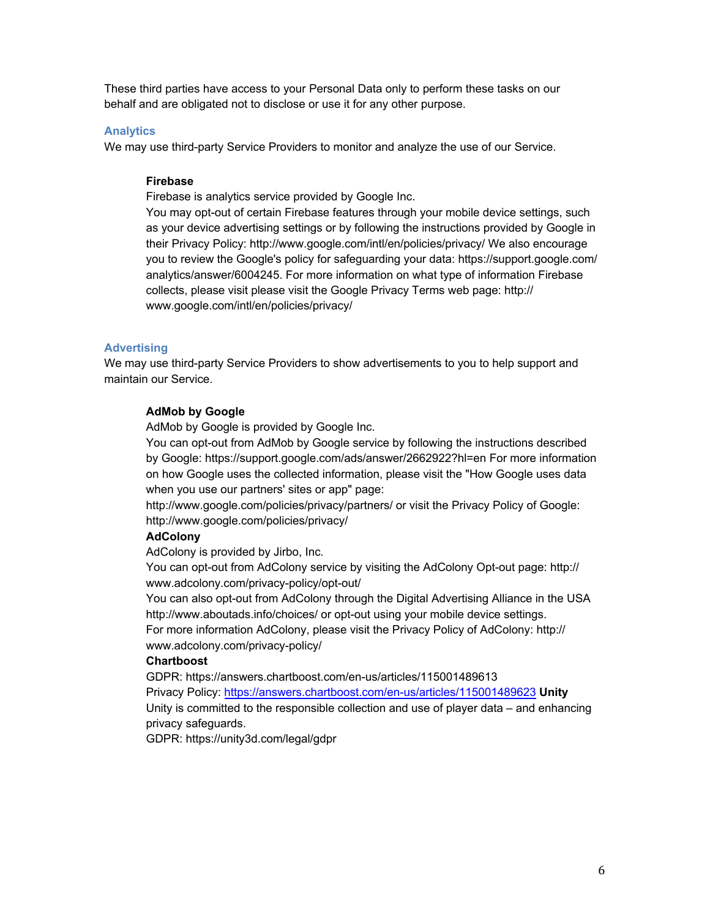These third parties have access to your Personal Data only to perform these tasks on our behalf and are obligated not to disclose or use it for any other purpose.

#### **Analytics**

We may use third-party Service Providers to monitor and analyze the use of our Service.

### **Firebase**

Firebase is analytics service provided by Google Inc.

You may opt-out of certain Firebase features through your mobile device settings, such as your device advertising settings or by following the instructions provided by Google in their Privacy Policy: http://www.google.com/intl/en/policies/privacy/ We also encourage you to review the Google's policy for safeguarding your data: https://support.google.com/ analytics/answer/6004245. For more information on what type of information Firebase collects, please visit please visit the Google Privacy Terms web page: http:// www.google.com/intl/en/policies/privacy/

### **Advertising**

We may use third-party Service Providers to show advertisements to you to help support and maintain our Service.

### **AdMob by Google**

AdMob by Google is provided by Google Inc.

You can opt-out from AdMob by Google service by following the instructions described by Google: https://support.google.com/ads/answer/2662922?hl=en For more information on how Google uses the collected information, please visit the "How Google uses data when you use our partners' sites or app" page:

http://www.google.com/policies/privacy/partners/ or visit the Privacy Policy of Google: http://www.google.com/policies/privacy/

### **AdColony**

AdColony is provided by Jirbo, Inc.

You can opt-out from AdColony service by visiting the AdColony Opt-out page: http:// www.adcolony.com/privacy-policy/opt-out/

You can also opt-out from AdColony through the Digital Advertising Alliance in the USA http://www.aboutads.info/choices/ or opt-out using your mobile device settings.

For more information AdColony, please visit the Privacy Policy of AdColony: http:// www.adcolony.com/privacy-policy/

### **Chartboost**

GDPR: https://answers.chartboost.com/en-us/articles/115001489613 Privacy Policy: https://answers.chartboost.com/en-us/articles/115001489623 **Unity**  Unity is committed to the responsible collection and use of player data – and enhancing privacy safeguards.

GDPR: https://unity3d.com/legal/gdpr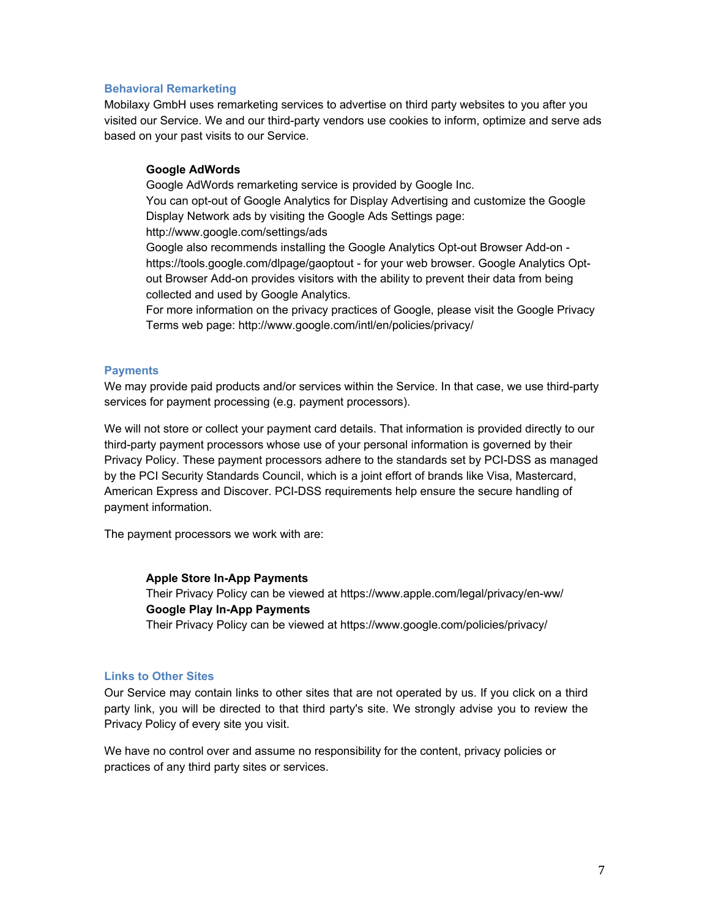#### **Behavioral Remarketing**

Mobilaxy GmbH uses remarketing services to advertise on third party websites to you after you visited our Service. We and our third-party vendors use cookies to inform, optimize and serve ads based on your past visits to our Service.

### **Google AdWords**

Google AdWords remarketing service is provided by Google Inc. You can opt-out of Google Analytics for Display Advertising and customize the Google Display Network ads by visiting the Google Ads Settings page: http://www.google.com/settings/ads Google also recommends installing the Google Analytics Opt-out Browser Add-on https://tools.google.com/dlpage/gaoptout - for your web browser. Google Analytics Optout Browser Add-on provides visitors with the ability to prevent their data from being collected and used by Google Analytics. For more information on the privacy practices of Google, please visit the Google Privacy

#### **Payments**

We may provide paid products and/or services within the Service. In that case, we use third-party services for payment processing (e.g. payment processors).

Terms web page: http://www.google.com/intl/en/policies/privacy/

We will not store or collect your payment card details. That information is provided directly to our third-party payment processors whose use of your personal information is governed by their Privacy Policy. These payment processors adhere to the standards set by PCI-DSS as managed by the PCI Security Standards Council, which is a joint effort of brands like Visa, Mastercard, American Express and Discover. PCI-DSS requirements help ensure the secure handling of payment information.

The payment processors we work with are:

#### **Apple Store In-App Payments**

Their Privacy Policy can be viewed at https://www.apple.com/legal/privacy/en-ww/ **Google Play In-App Payments** Their Privacy Policy can be viewed at https://www.google.com/policies/privacy/

#### **Links to Other Sites**

Our Service may contain links to other sites that are not operated by us. If you click on a third party link, you will be directed to that third party's site. We strongly advise you to review the Privacy Policy of every site you visit.

We have no control over and assume no responsibility for the content, privacy policies or practices of any third party sites or services.